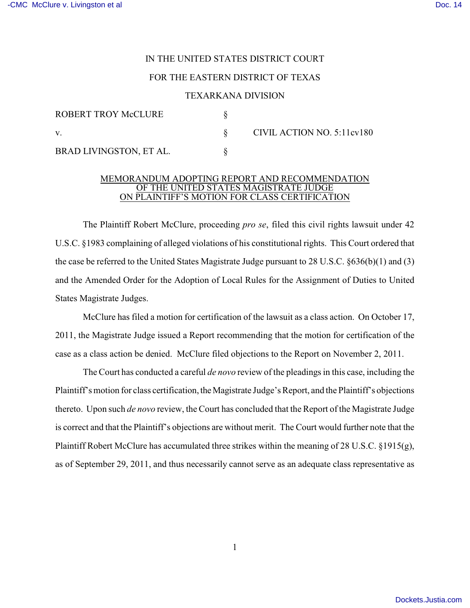## IN THE UNITED STATES DISTRICT COURT

## FOR THE EASTERN DISTRICT OF TEXAS

## TEXARKANA DIVISION

| ROBERT TROY McCLURE     |                            |
|-------------------------|----------------------------|
|                         | CIVIL ACTION NO. 5:11cv180 |
| BRAD LIVINGSTON, ET AL. |                            |

## MEMORANDUM ADOPTING REPORT AND RECOMMENDATION OF THE UNITED STATES MAGISTRATE JUDGE ON PLAINTIFF'S MOTION FOR CLASS CERTIFICATION

The Plaintiff Robert McClure, proceeding *pro se*, filed this civil rights lawsuit under 42 U.S.C. §1983 complaining of alleged violations of his constitutional rights. This Court ordered that the case be referred to the United States Magistrate Judge pursuant to 28 U.S.C. §636(b)(1) and (3) and the Amended Order for the Adoption of Local Rules for the Assignment of Duties to United States Magistrate Judges.

McClure has filed a motion for certification of the lawsuit as a class action. On October 17, 2011, the Magistrate Judge issued a Report recommending that the motion for certification of the case as a class action be denied. McClure filed objections to the Report on November 2, 2011.

The Court has conducted a careful *de novo* review of the pleadings in this case, including the Plaintiff's motion for class certification, the Magistrate Judge's Report, and the Plaintiff's objections thereto. Upon such *de novo* review, the Court has concluded that the Report of the Magistrate Judge is correct and that the Plaintiff's objections are without merit. The Court would further note that the Plaintiff Robert McClure has accumulated three strikes within the meaning of 28 U.S.C. §1915(g), as of September 29, 2011, and thus necessarily cannot serve as an adequate class representative as